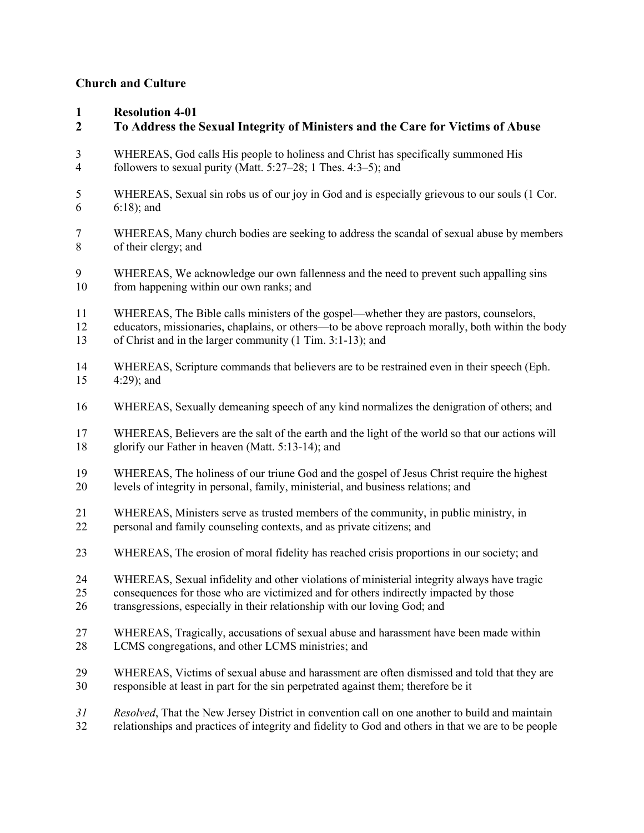## **Church and Culture**

- **Resolution 4-01**
- **To Address the Sexual Integrity of Ministers and the Care for Victims of Abuse**
- WHEREAS, God calls His people to holiness and Christ has specifically summoned His followers to sexual purity (Matt. 5:27–28; 1 Thes. 4:3–5); and
- WHEREAS, Sexual sin robs us of our joy in God and is especially grievous to our souls (1 Cor. 6:18); and
- WHEREAS, Many church bodies are seeking to address the scandal of sexual abuse by members of their clergy; and
- WHEREAS, We acknowledge our own fallenness and the need to prevent such appalling sins from happening within our own ranks; and
- WHEREAS, The Bible calls ministers of the gospel—whether they are pastors, counselors,
- educators, missionaries, chaplains, or others—to be above reproach morally, both within the body of Christ and in the larger community (1 Tim. 3:1-13); and
- WHEREAS, Scripture commands that believers are to be restrained even in their speech (Eph.
- 4:29); and
- WHEREAS, Sexually demeaning speech of any kind normalizes the denigration of others; and

 WHEREAS, Believers are the salt of the earth and the light of the world so that our actions will glorify our Father in heaven (Matt. 5:13-14); and

- WHEREAS, The holiness of our triune God and the gospel of Jesus Christ require the highest levels of integrity in personal, family, ministerial, and business relations; and
- WHEREAS, Ministers serve as trusted members of the community, in public ministry, in personal and family counseling contexts, and as private citizens; and
- WHEREAS, The erosion of moral fidelity has reached crisis proportions in our society; and
- WHEREAS, Sexual infidelity and other violations of ministerial integrity always have tragic
- consequences for those who are victimized and for others indirectly impacted by those
- transgressions, especially in their relationship with our loving God; and
- WHEREAS, Tragically, accusations of sexual abuse and harassment have been made within LCMS congregations, and other LCMS ministries; and
- WHEREAS, Victims of sexual abuse and harassment are often dismissed and told that they are responsible at least in part for the sin perpetrated against them; therefore be it
- *Resolved*, That the New Jersey District in convention call on one another to build and maintain relationships and practices of integrity and fidelity to God and others in that we are to be people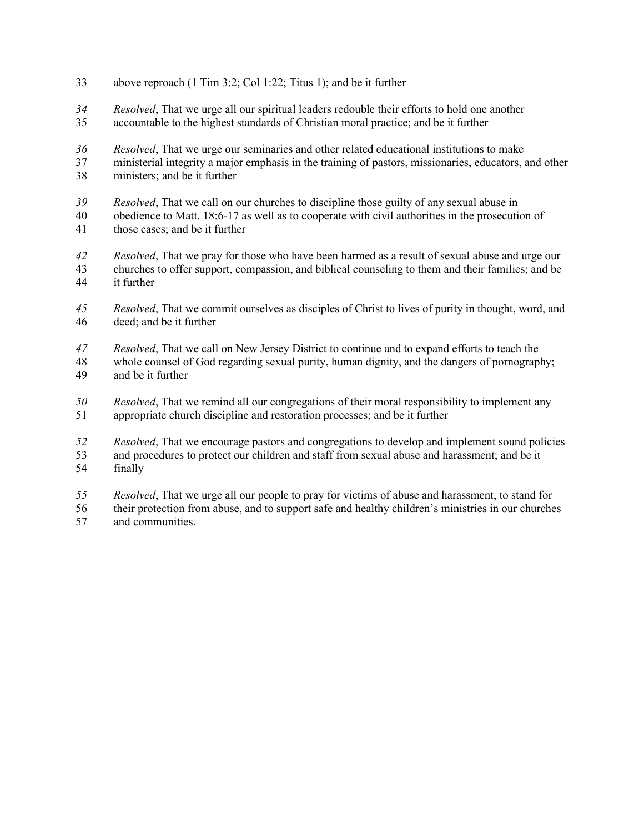- above reproach (1 Tim 3:2; Col 1:22; Titus 1); and be it further
- *Resolved*, That we urge all our spiritual leaders redouble their efforts to hold one another accountable to the highest standards of Christian moral practice; and be it further
- 
- *Resolved*, That we urge our seminaries and other related educational institutions to make
- ministerial integrity a major emphasis in the training of pastors, missionaries, educators, and other ministers; and be it further
- *Resolved*, That we call on our churches to discipline those guilty of any sexual abuse in
- obedience to Matt. 18:6-17 as well as to cooperate with civil authorities in the prosecution of those cases; and be it further
- *Resolved*, That we pray for those who have been harmed as a result of sexual abuse and urge our churches to offer support, compassion, and biblical counseling to them and their families; and be it further
- *Resolved*, That we commit ourselves as disciples of Christ to lives of purity in thought, word, and deed; and be it further
- *Resolved*, That we call on New Jersey District to continue and to expand efforts to teach the
- whole counsel of God regarding sexual purity, human dignity, and the dangers of pornography; and be it further
- *Resolved*, That we remind all our congregations of their moral responsibility to implement any appropriate church discipline and restoration processes; and be it further
- *Resolved*, That we encourage pastors and congregations to develop and implement sound policies and procedures to protect our children and staff from sexual abuse and harassment; and be it finally
- *Resolved*, That we urge all our people to pray for victims of abuse and harassment, to stand for
- 56 their protection from abuse, and to support safe and healthy children's ministries in our churches and communities. and communities.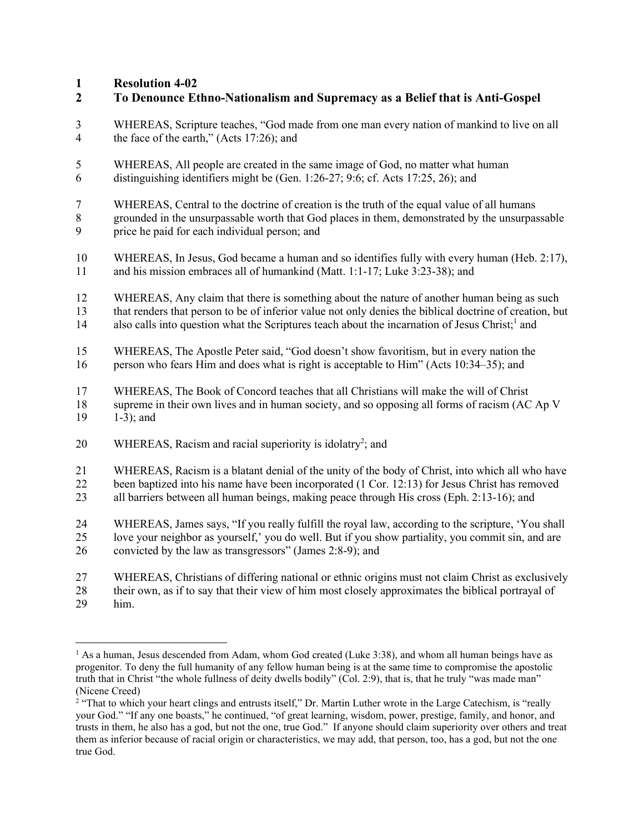## **Resolution 4-02**

## **To Denounce Ethno-Nationalism and Supremacy as a Belief that is Anti-Gospel**

- WHEREAS, Scripture teaches, "God made from one man every nation of mankind to live on all 4 the face of the earth," (Acts 17:26); and
- WHEREAS, All people are created in the same image of God, no matter what human
- distinguishing identifiers might be (Gen. 1:26-27; 9:6; cf. Acts 17:25, 26); and
- WHEREAS, Central to the doctrine of creation is the truth of the equal value of all humans
- grounded in the unsurpassable worth that God places in them, demonstrated by the unsurpassable price he paid for each individual person; and
- WHEREAS, In Jesus, God became a human and so identifies fully with every human (Heb. 2:17), and his mission embraces all of humankind (Matt. 1:1-17; Luke 3:23-38); and
- 12 WHEREAS, Any claim that there is something about the nature of another human being as such that renders that person to be of inferior value not only denies the biblical doctrine of creation, but
- 14 also calls into question what the Scriptures teach about the incarnation of Jesus Christ;<sup>1</sup> and
- WHEREAS, The Apostle Peter said, "God doesn't show favoritism, but in every nation the person who fears Him and does what is right is acceptable to Him" (Acts 10:34–35); and
- WHEREAS, The Book of Concord teaches that all Christians will make the will of Christ 18 supreme in their own lives and in human society, and so opposing all forms of racism (AC Ap V 1-3); and
- 20 WHEREAS, Racism and racial superiority is idolatry<sup>2</sup>; and
- WHEREAS, Racism is a blatant denial of the unity of the body of Christ, into which all who have
- been baptized into his name have been incorporated (1 Cor. 12:13) for Jesus Christ has removed
- all barriers between all human beings, making peace through His cross (Eph. 2:13-16); and
- WHEREAS, James says, "If you really fulfill the royal law, according to the scripture, 'You shall love your neighbor as yourself,' you do well. But if you show partiality, you commit sin, and are convicted by the law as transgressors" (James 2:8-9); and
- WHEREAS, Christians of differing national or ethnic origins must not claim Christ as exclusively
- their own, as if to say that their view of him most closely approximates the biblical portrayal of
- him.

<sup>&</sup>lt;sup>1</sup> As a human, Jesus descended from Adam, whom God created (Luke 3:38), and whom all human beings have as progenitor. To deny the full humanity of any fellow human being is at the same time to compromise the apostolic truth that in Christ "the whole fullness of deity dwells bodily" (Col. 2:9), that is, that he truly "was made man" (Nicene Creed)

<sup>&</sup>lt;sup>2</sup> "That to which your heart clings and entrusts itself," Dr. Martin Luther wrote in the Large Catechism, is "really your God." "If any one boasts," he continued, "of great learning, wisdom, power, prestige, family, and honor, and trusts in them, he also has a god, but not the one, true God." If anyone should claim superiority over others and treat them as inferior because of racial origin or characteristics, we may add, that person, too, has a god, but not the one true God.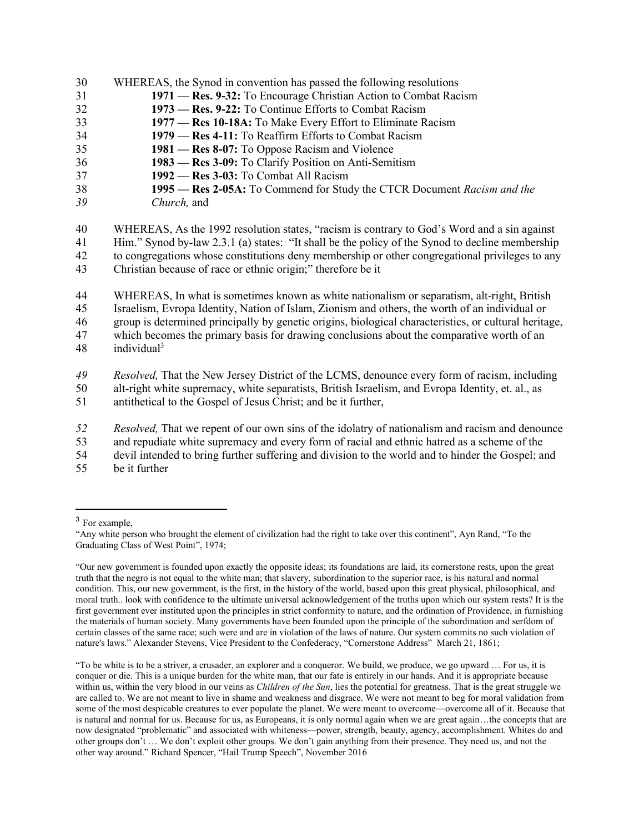- 30 WHEREAS, the Synod in convention has passed the following resolutions
- 31 **1971 — Res. 9-32:** To Encourage Christian Action to Combat Racism
- 32 **1973 — Res. 9-22:** To Continue Efforts to Combat Racism
- 33 **1977 — Res 10-18A:** To Make Every Effort to Eliminate Racism
- 34 **1979 — Res 4-11:** To Reaffirm Efforts to Combat Racism
- 35 **1981 — Res 8-07:** To Oppose Racism and Violence
- 36 **1983 — Res 3-09:** To Clarify Position on Anti-Semitism
- 37 **1992 — Res 3-03:** To Combat All Racism
- 38 **1995 — Res 2-05A:** To Commend for Study the CTCR Document *Racism and the*
- *39 Church,* and
- 40 WHEREAS, As the 1992 resolution states, "racism is contrary to God's Word and a sin against

41 Him." Synod by-law 2.3.1 (a) states: "It shall be the policy of the Synod to decline membership

- 42 to congregations whose constitutions deny membership or other congregational privileges to any
- 43 Christian because of race or ethnic origin;" therefore be it
- 44 WHEREAS, In what is sometimes known as white nationalism or separatism, alt-right, British
- 45 Israelism, Evropa Identity, Nation of Islam, Zionism and others, the worth of an individual or
- 46 group is determined principally by genetic origins, biological characteristics, or cultural heritage,
- 47 which becomes the primary basis for drawing conclusions about the comparative worth of an
- $48$  individual<sup>3</sup>
- *49 Resolved,* That the New Jersey District of the LCMS, denounce every form of racism, including
- 50 alt-right white supremacy, white separatists, British Israelism, and Evropa Identity, et. al., as
- 51 antithetical to the Gospel of Jesus Christ; and be it further,
- *52 Resolved,* That we repent of our own sins of the idolatry of nationalism and racism and denounce
- 53 and repudiate white supremacy and every form of racial and ethnic hatred as a scheme of the
- 54 devil intended to bring further suffering and division to the world and to hinder the Gospel; and
- 55 be it further

<sup>3</sup> For example,

 $\overline{a}$ 

<sup>&</sup>quot;Any white person who brought the element of civilization had the right to take over this continent", Ayn Rand, "To the Graduating Class of West Point", 1974;

<sup>&</sup>quot;Our new government is founded upon exactly the opposite ideas; its foundations are laid, its cornerstone rests, upon the great truth that the negro is not equal to the white man; that slavery, subordination to the superior race, is his natural and normal condition. This, our new government, is the first, in the history of the world, based upon this great physical, philosophical, and moral truth.. look with confidence to the ultimate universal acknowledgement of the truths upon which our system rests? It is the first government ever instituted upon the principles in strict conformity to nature, and the ordination of Providence, in furnishing the materials of human society. Many governments have been founded upon the principle of the subordination and serfdom of certain classes of the same race; such were and are in violation of the laws of nature. Our system commits no such violation of nature's laws." Alexander Stevens, Vice President to the Confederacy, "Cornerstone Address" March 21, 1861;

<sup>&</sup>quot;To be white is to be a striver, a crusader, an explorer and a conqueror. We build, we produce, we go upward … For us, it is conquer or die. This is a unique burden for the white man, that our fate is entirely in our hands. And it is appropriate because within us, within the very blood in our veins as *Children of the Sun*, lies the potential for greatness. That is the great struggle we are called to. We are not meant to live in shame and weakness and disgrace. We were not meant to beg for moral validation from some of the most despicable creatures to ever populate the planet. We were meant to overcome—overcome all of it. Because that is natural and normal for us. Because for us, as Europeans, it is only normal again when we are great again…the concepts that are now designated "problematic" and associated with whiteness—power, strength, beauty, agency, accomplishment. Whites do and other groups don't … We don't exploit other groups. We don't gain anything from their presence. They need us, and not the other way around." Richard Spencer, "Hail Trump Speech", November 2016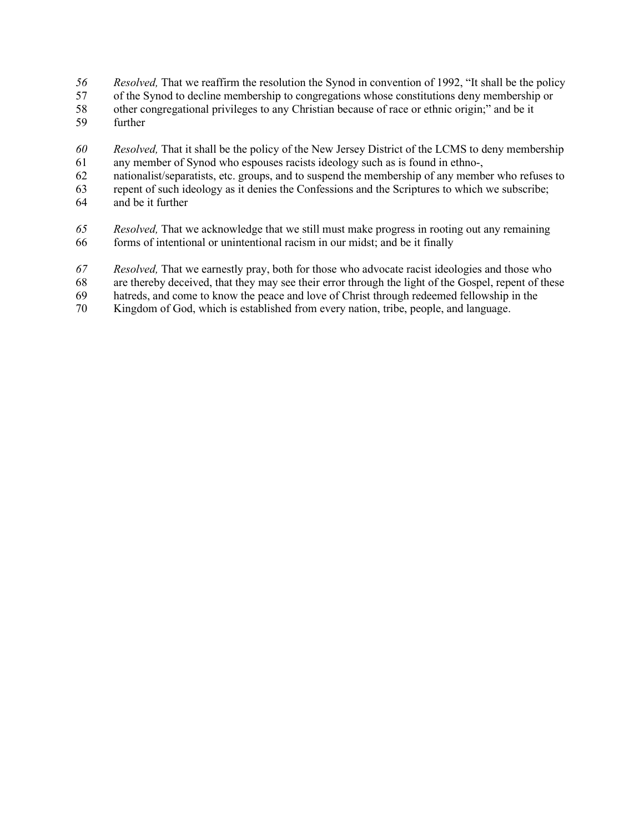- *Resolved,* That we reaffirm the resolution the Synod in convention of 1992, "It shall be the policy
- of the Synod to decline membership to congregations whose constitutions deny membership or
- 58 other congregational privileges to any Christian because of race or ethnic origin;" and be it further
- further
- *Resolved,* That it shall be the policy of the New Jersey District of the LCMS to deny membership
- any member of Synod who espouses racists ideology such as is found in ethno-,
- nationalist/separatists, etc. groups, and to suspend the membership of any member who refuses to
- repent of such ideology as it denies the Confessions and the Scriptures to which we subscribe;
- and be it further
- *Resolved,* That we acknowledge that we still must make progress in rooting out any remaining forms of intentional or unintentional racism in our midst; and be it finally
- *Resolved,* That we earnestly pray, both for those who advocate racist ideologies and those who
- are thereby deceived, that they may see their error through the light of the Gospel, repent of these
- hatreds, and come to know the peace and love of Christ through redeemed fellowship in the
- Kingdom of God, which is established from every nation, tribe, people, and language.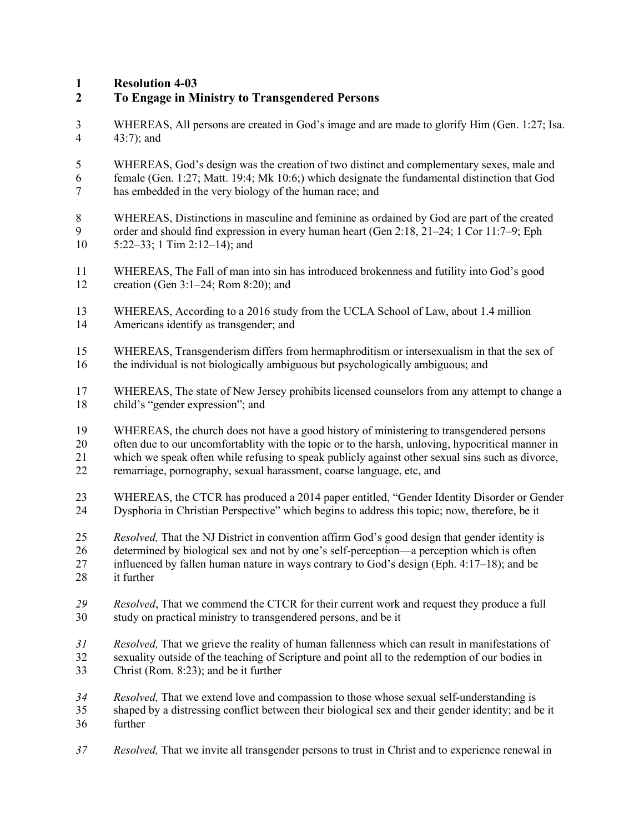**Resolution 4-03**

## **To Engage in Ministry to Transgendered Persons**

 WHEREAS, All persons are created in God's image and are made to glorify Him (Gen. 1:27; Isa. 43:7); and

 WHEREAS, God's design was the creation of two distinct and complementary sexes, male and female (Gen. 1:27; Matt. 19:4; Mk 10:6;) which designate the fundamental distinction that God has embedded in the very biology of the human race; and

 WHEREAS, Distinctions in masculine and feminine as ordained by God are part of the created order and should find expression in every human heart (Gen 2:18, 21–24; 1 Cor 11:7–9; Eph 5:22–33; 1 Tim 2:12–14); and

- WHEREAS, The Fall of man into sin has introduced brokenness and futility into God's good creation (Gen 3:1–24; Rom 8:20); and
- 13 WHEREAS, According to a 2016 study from the UCLA School of Law, about 1.4 million<br>14 Americans identify as transgender: and Americans identify as transgender; and
- WHEREAS, Transgenderism differs from hermaphroditism or intersexualism in that the sex of the individual is not biologically ambiguous but psychologically ambiguous; and
- WHEREAS, The state of New Jersey prohibits licensed counselors from any attempt to change a child's "gender expression"; and
- WHEREAS, the church does not have a good history of ministering to transgendered persons
- often due to our uncomfortablity with the topic or to the harsh, unloving, hypocritical manner in
- which we speak often while refusing to speak publicly against other sexual sins such as divorce,
- remarriage, pornography, sexual harassment, coarse language, etc, and
- WHEREAS, the CTCR has produced a 2014 paper entitled, "Gender Identity Disorder or Gender Dysphoria in Christian Perspective" which begins to address this topic; now, therefore, be it
- *Resolved,* That the NJ District in convention affirm God's good design that gender identity is
- determined by biological sex and not by one's self-perception—a perception which is often
- influenced by fallen human nature in ways contrary to God's design (Eph. 4:17–18); and be
- it further
- *Resolved*, That we commend the CTCR for their current work and request they produce a full study on practical ministry to transgendered persons, and be it
- *Resolved,* That we grieve the reality of human fallenness which can result in manifestations of
- sexuality outside of the teaching of Scripture and point all to the redemption of our bodies in
- Christ (Rom. 8:23); and be it further
- *Resolved,* That we extend love and compassion to those whose sexual self-understanding is
- shaped by a distressing conflict between their biological sex and their gender identity; and be it further
- *Resolved,* That we invite all transgender persons to trust in Christ and to experience renewal in